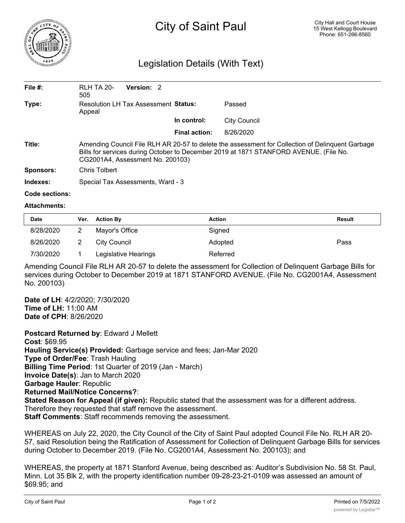

## Legislation Details (With Text)

| File $#$ : | <b>RLH TA 20-</b><br>505                                                                                                                                                                                                      | Version: 2 |  |                      |                     |  |  |
|------------|-------------------------------------------------------------------------------------------------------------------------------------------------------------------------------------------------------------------------------|------------|--|----------------------|---------------------|--|--|
| Type:      | Resolution LH Tax Assessment Status:<br>Appeal                                                                                                                                                                                |            |  |                      | Passed              |  |  |
|            |                                                                                                                                                                                                                               |            |  | In control:          | <b>City Council</b> |  |  |
|            |                                                                                                                                                                                                                               |            |  | <b>Final action:</b> | 8/26/2020           |  |  |
| Title:     | Amending Council File RLH AR 20-57 to delete the assessment for Collection of Delinquent Garbage<br>Bills for services during October to December 2019 at 1871 STANFORD AVENUE. (File No.<br>CG2001A4, Assessment No. 200103) |            |  |                      |                     |  |  |
| Sponsors:  | Chris Tolbert                                                                                                                                                                                                                 |            |  |                      |                     |  |  |
| Indexes:   | Special Tax Assessments, Ward - 3                                                                                                                                                                                             |            |  |                      |                     |  |  |

## **Code sections:**

## **Attachments:**

| <b>Date</b> | Ver. | <b>Action By</b>     | <b>Action</b> | <b>Result</b> |
|-------------|------|----------------------|---------------|---------------|
| 8/28/2020   |      | Mayor's Office       | Signed        |               |
| 8/26/2020   |      | City Council         | Adopted       | Pass          |
| 7/30/2020   |      | Legislative Hearings | Referred      |               |

Amending Council File RLH AR 20-57 to delete the assessment for Collection of Delinquent Garbage Bills for services during October to December 2019 at 1871 STANFORD AVENUE. (File No. CG2001A4, Assessment No. 200103)

**Date of LH**: 4/2/2020; 7/30/2020 **Time of LH:** 11:00 AM **Date of CPH**: 8/26/2020

**Postcard Returned by**: Edward J Mellett **Cost**: \$69.95 **Hauling Service(s) Provided:** Garbage service and fees; Jan-Mar 2020 **Type of Order/Fee**: Trash Hauling **Billing Time Period**: 1st Quarter of 2019 (Jan - March) **Invoice Date(s)**: Jan to March 2020 **Garbage Hauler**: Republic **Returned Mail/Notice Concerns?**: **Stated Reason for Appeal (if given):** Republic stated that the assessment was for a different address. Therefore they requested that staff remove the assessment. **Staff Comments**: Staff recommends removing the assessment.

WHEREAS on July 22, 2020, the City Council of the City of Saint Paul adopted Council File No. RLH AR 20- 57, said Resolution being the Ratification of Assessment for Collection of Delinquent Garbage Bills for services during October to December 2019. (File No. CG2001A4, Assessment No. 200103); and

WHEREAS, the property at 1871 Stanford Avenue, being described as: Auditor's Subdivision No. 58 St. Paul, Minn. Lot 35 Blk 2, with the property identification number 09-28-23-21-0109 was assessed an amount of \$69.95; and